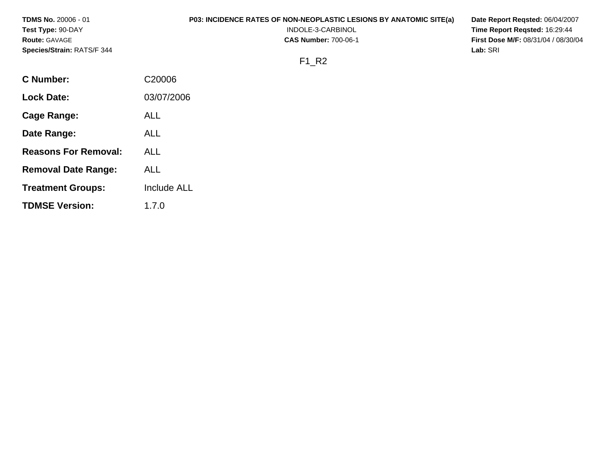| <b>TDMS No. 20006 - 01</b>  | P03: INCIDENCE RATES OF NON-NEOPLASTIC LESIONS BY ANATOMIC SITE(a)<br>Date Report Regsted: 06/04/2007 |                                            |  |  |  |
|-----------------------------|-------------------------------------------------------------------------------------------------------|--------------------------------------------|--|--|--|
| Test Type: 90-DAY           | INDOLE-3-CARBINOL                                                                                     | Time Report Regsted: 16:29:44              |  |  |  |
| <b>Route: GAVAGE</b>        | <b>CAS Number: 700-06-1</b>                                                                           | <b>First Dose M/F: 08/31/04 / 08/30/04</b> |  |  |  |
| Species/Strain: RATS/F 344  |                                                                                                       | Lab: SRI                                   |  |  |  |
|                             | $F1_R2$                                                                                               |                                            |  |  |  |
| <b>C</b> Number:            | C20006                                                                                                |                                            |  |  |  |
| <b>Lock Date:</b>           | 03/07/2006                                                                                            |                                            |  |  |  |
| <b>Cage Range:</b>          | <b>ALL</b>                                                                                            |                                            |  |  |  |
| Date Range:                 | <b>ALL</b>                                                                                            |                                            |  |  |  |
| <b>Reasons For Removal:</b> | <b>ALL</b>                                                                                            |                                            |  |  |  |
| <b>Removal Date Range:</b>  | <b>ALL</b>                                                                                            |                                            |  |  |  |

- **Treatment Groups:** Include ALL
- **TDMSE Version:**  1.7.0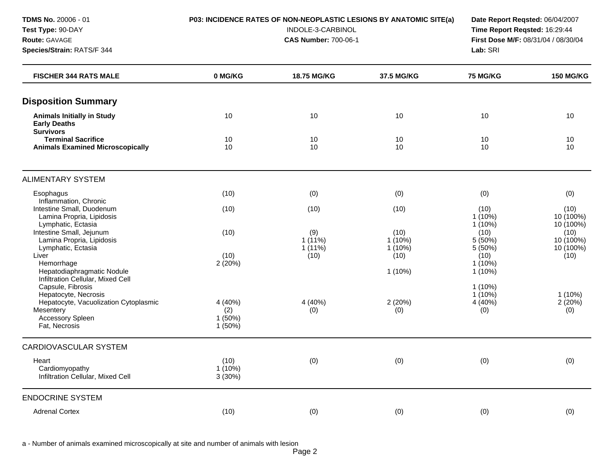**Species/Strain:** RATS/F 344 **Lab:** SRI

#### **TDMS No.** 20006 - 01 **P03: INCIDENCE RATES OF NON-NEOPLASTIC LESIONS BY ANATOMIC SITE(a) Date Report Reqsted:** 06/04/2007

**Test Type:** 90-DAY INDOLE-3-CARBINOL **Time Report Reqsted:** 16:29:44 **Route:** GAVAGE **CAS Number:** 700-06-1 **First Dose M/F:** 08/31/04 / 08/30/04

| <b>FISCHER 344 RATS MALE</b>                                                            | 0 MG/KG                            | 18.75 MG/KG                   | 37.5 MG/KG                     | 75 MG/KG                       | <b>150 MG/KG</b>               |
|-----------------------------------------------------------------------------------------|------------------------------------|-------------------------------|--------------------------------|--------------------------------|--------------------------------|
| <b>Disposition Summary</b>                                                              |                                    |                               |                                |                                |                                |
| <b>Animals Initially in Study</b><br><b>Early Deaths</b><br><b>Survivors</b>            | 10                                 | 10                            | 10                             | 10                             | 10                             |
| <b>Terminal Sacrifice</b><br><b>Animals Examined Microscopically</b>                    | 10<br>10                           | 10<br>10                      | 10<br>10                       | 10<br>10                       | 10<br>10                       |
| <b>ALIMENTARY SYSTEM</b>                                                                |                                    |                               |                                |                                |                                |
| Esophagus<br>Inflammation, Chronic                                                      | (10)                               | (0)                           | (0)                            | (0)                            | (0)                            |
| Intestine Small, Duodenum<br>Lamina Propria, Lipidosis<br>Lymphatic, Ectasia            | (10)                               | (10)                          | (10)                           | (10)<br>$1(10\%)$<br>$1(10\%)$ | (10)<br>10 (100%)<br>10 (100%) |
| Intestine Small, Jejunum<br>Lamina Propria, Lipidosis<br>Lymphatic, Ectasia             | (10)                               | (9)<br>$1(11\%)$<br>$1(11\%)$ | (10)<br>$1(10\%)$<br>$1(10\%)$ | (10)<br>5 (50%)<br>5 (50%)     | (10)<br>10 (100%)<br>10 (100%) |
| Liver<br>Hemorrhage<br>Hepatodiaphragmatic Nodule                                       | (10)<br>2(20%)                     | (10)                          | (10)<br>$1(10\%)$              | (10)<br>$1(10\%)$<br>$1(10\%)$ | (10)                           |
| Infiltration Cellular, Mixed Cell<br>Capsule, Fibrosis<br>Hepatocyte, Necrosis          |                                    |                               |                                | $1(10\%)$<br>$1(10\%)$         | $1(10\%)$                      |
| Hepatocyte, Vacuolization Cytoplasmic<br>Mesentery<br>Accessory Spleen<br>Fat, Necrosis | 4 (40%)<br>(2)<br>1(50%)<br>1(50%) | 4 (40%)<br>(0)                | 2(20%)<br>(0)                  | 4 (40%)<br>(0)                 | 2(20%)<br>(0)                  |
| <b>CARDIOVASCULAR SYSTEM</b>                                                            |                                    |                               |                                |                                |                                |
| Heart<br>Cardiomyopathy<br>Infiltration Cellular, Mixed Cell                            | (10)<br>$1(10\%)$<br>3(30%)        | (0)                           | (0)                            | (0)                            | (0)                            |
| <b>ENDOCRINE SYSTEM</b>                                                                 |                                    |                               |                                |                                |                                |
| <b>Adrenal Cortex</b>                                                                   | (10)                               | (0)                           | (0)                            | (0)                            | (0)                            |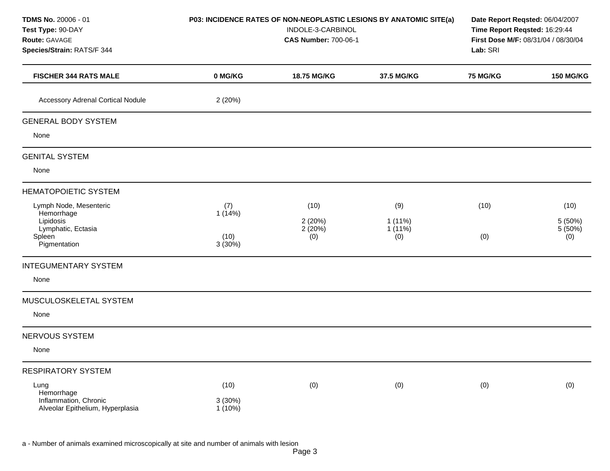| TDMS No. 20006 - 01<br>Test Type: 90-DAY<br>Route: GAVAGE<br>Species/Strain: RATS/F 344           | P03: INCIDENCE RATES OF NON-NEOPLASTIC LESIONS BY ANATOMIC SITE(a)<br>INDOLE-3-CARBINOL<br><b>CAS Number: 700-06-1</b> |                                 |                                      | Date Report Reqsted: 06/04/2007<br>Time Report Reqsted: 16:29:44<br>First Dose M/F: 08/31/04 / 08/30/04<br>Lab: SRI |                                   |
|---------------------------------------------------------------------------------------------------|------------------------------------------------------------------------------------------------------------------------|---------------------------------|--------------------------------------|---------------------------------------------------------------------------------------------------------------------|-----------------------------------|
| <b>FISCHER 344 RATS MALE</b>                                                                      | 0 MG/KG                                                                                                                | 18.75 MG/KG                     | 37.5 MG/KG                           | <b>75 MG/KG</b>                                                                                                     | <b>150 MG/KG</b>                  |
| <b>Accessory Adrenal Cortical Nodule</b>                                                          | 2(20%)                                                                                                                 |                                 |                                      |                                                                                                                     |                                   |
| <b>GENERAL BODY SYSTEM</b>                                                                        |                                                                                                                        |                                 |                                      |                                                                                                                     |                                   |
| None                                                                                              |                                                                                                                        |                                 |                                      |                                                                                                                     |                                   |
| <b>GENITAL SYSTEM</b>                                                                             |                                                                                                                        |                                 |                                      |                                                                                                                     |                                   |
| None                                                                                              |                                                                                                                        |                                 |                                      |                                                                                                                     |                                   |
| <b>HEMATOPOIETIC SYSTEM</b>                                                                       |                                                                                                                        |                                 |                                      |                                                                                                                     |                                   |
| Lymph Node, Mesenteric<br>Hemorrhage<br>Lipidosis<br>Lymphatic, Ectasia<br>Spleen<br>Pigmentation | (7)<br>1(14%)<br>(10)<br>3(30%)                                                                                        | (10)<br>2(20%)<br>2(20%)<br>(0) | (9)<br>$1(11\%)$<br>$1(11\%)$<br>(0) | (10)<br>(0)                                                                                                         | (10)<br>5 (50%)<br>5 (50%)<br>(0) |
| <b>INTEGUMENTARY SYSTEM</b>                                                                       |                                                                                                                        |                                 |                                      |                                                                                                                     |                                   |
| None                                                                                              |                                                                                                                        |                                 |                                      |                                                                                                                     |                                   |
| MUSCULOSKELETAL SYSTEM                                                                            |                                                                                                                        |                                 |                                      |                                                                                                                     |                                   |
| None                                                                                              |                                                                                                                        |                                 |                                      |                                                                                                                     |                                   |
| NERVOUS SYSTEM                                                                                    |                                                                                                                        |                                 |                                      |                                                                                                                     |                                   |
| None                                                                                              |                                                                                                                        |                                 |                                      |                                                                                                                     |                                   |
| <b>RESPIRATORY SYSTEM</b>                                                                         |                                                                                                                        |                                 |                                      |                                                                                                                     |                                   |
| Lung<br>Hemorrhage<br>Inflammation, Chronic<br>Alveolar Epithelium, Hyperplasia                   | (10)<br>3(30%)<br>$1(10\%)$                                                                                            | (0)                             | (0)                                  | (0)                                                                                                                 | (0)                               |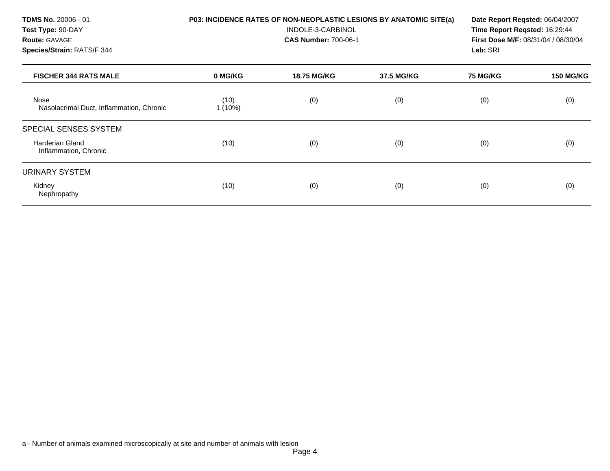**TDMS No.** 20006 - 01 **Test Type:** 90-DAY **Route:** GAVAGE **Species/Strain:** RATS/F 344 **P03: INCIDENCE RATES OF NON-NEOPLASTIC LESIONS BY ANATOMIC SITE(a)**  INDOLE-3-CARBINOL **CAS Number:** 700-06-1 **Date Report Reqsted:** 06/04/2007 **Time Report Reqsted:** 16:29:44 **First Dose M/F:** 08/31/04 / 08/30/04 **Lab:** SRI **FISCHER 344 RATS MALE 0 MG/KG 18.75 MG/KG 37.5 MG/KG 75 MG/KG 150 MG/KG**  Nose Nasolacrimal Duct, Inflammation, Chronic (10)  $1(10\%)$ (0) (0) (0) (0) SPECIAL SENSES SYSTEM Harderian Gland Inflammation, Chronic (10) (0) (0) (0) (0) URINARY SYSTEM Kidney Nephropathy (10) (0) (0) (0) (0)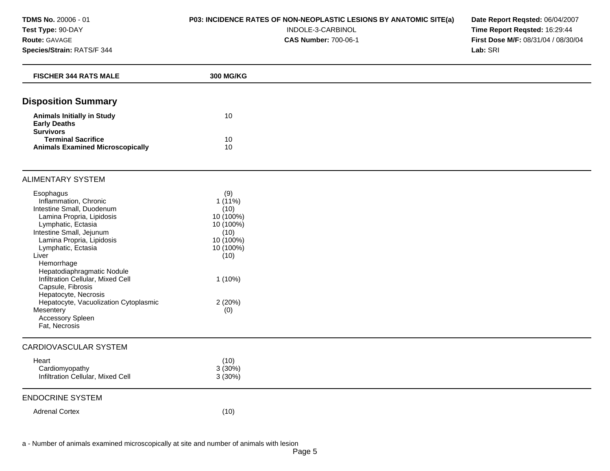### **P03: INCIDENCE RATES OF NON-NEOPLASTIC LESIONS BY ANATOMIC SITE(a)**

#### INDOLE-3-CARBINOL

**CAS Number:** 700-06-1

**Date Report Reqsted:** 06/04/2007 **Time Report Reqsted:** 16:29:44 **First Dose M/F:** 08/31/04 / 08/30/04 **Lab:** SRI

| <b>FISCHER 344 RATS MALE</b>                                                                                                                                                                                                                                                                                                                                                                                                        | <b>300 MG/KG</b>                                                                                                           |  |
|-------------------------------------------------------------------------------------------------------------------------------------------------------------------------------------------------------------------------------------------------------------------------------------------------------------------------------------------------------------------------------------------------------------------------------------|----------------------------------------------------------------------------------------------------------------------------|--|
| <b>Disposition Summary</b>                                                                                                                                                                                                                                                                                                                                                                                                          |                                                                                                                            |  |
| <b>Animals Initially in Study</b><br><b>Early Deaths</b><br><b>Survivors</b>                                                                                                                                                                                                                                                                                                                                                        | 10                                                                                                                         |  |
| <b>Terminal Sacrifice</b><br><b>Animals Examined Microscopically</b>                                                                                                                                                                                                                                                                                                                                                                | 10<br>10                                                                                                                   |  |
| <b>ALIMENTARY SYSTEM</b>                                                                                                                                                                                                                                                                                                                                                                                                            |                                                                                                                            |  |
| Esophagus<br>Inflammation, Chronic<br>Intestine Small, Duodenum<br>Lamina Propria, Lipidosis<br>Lymphatic, Ectasia<br>Intestine Small, Jejunum<br>Lamina Propria, Lipidosis<br>Lymphatic, Ectasia<br>Liver<br>Hemorrhage<br>Hepatodiaphragmatic Nodule<br>Infiltration Cellular, Mixed Cell<br>Capsule, Fibrosis<br>Hepatocyte, Necrosis<br>Hepatocyte, Vacuolization Cytoplasmic<br>Mesentery<br>Accessory Spleen<br>Fat, Necrosis | (9)<br>$1(11\%)$<br>(10)<br>10 (100%)<br>10 (100%)<br>(10)<br>10 (100%)<br>10 (100%)<br>(10)<br>$1(10\%)$<br>2(20%)<br>(0) |  |
| <b>CARDIOVASCULAR SYSTEM</b>                                                                                                                                                                                                                                                                                                                                                                                                        |                                                                                                                            |  |
| Heart<br>Cardiomyopathy<br>Infiltration Cellular, Mixed Cell                                                                                                                                                                                                                                                                                                                                                                        | (10)<br>3(30%)<br>3(30%)                                                                                                   |  |
| <b>ENDOCRINE SYSTEM</b>                                                                                                                                                                                                                                                                                                                                                                                                             |                                                                                                                            |  |
| <b>Adrenal Cortex</b>                                                                                                                                                                                                                                                                                                                                                                                                               | (10)                                                                                                                       |  |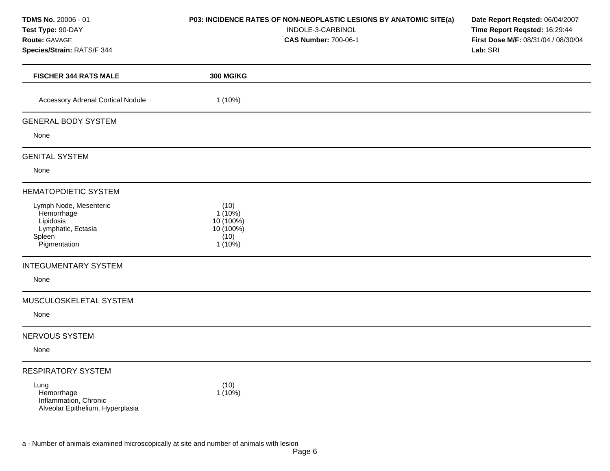### **P03: INCIDENCE RATES OF NON-NEOPLASTIC LESIONS BY ANATOMIC SITE(a)**

INDOLE-3-CARBINOL

**CAS Number:** 700-06-1

**Date Report Reqsted:** 06/04/2007 **Time Report Reqsted:** 16:29:44 **First Dose M/F:** 08/31/04 / 08/30/04 **Lab:** SRI

| <b>FISCHER 344 RATS MALE</b>             | <b>300 MG/KG</b>  |
|------------------------------------------|-------------------|
| <b>Accessory Adrenal Cortical Nodule</b> | $1(10\%)$         |
|                                          |                   |
| <b>GENERAL BODY SYSTEM</b>               |                   |
| None                                     |                   |
| <b>GENITAL SYSTEM</b>                    |                   |
| None                                     |                   |
| <b>HEMATOPOIETIC SYSTEM</b>              |                   |
| Lymph Node, Mesenteric<br>Hemorrhage     | (10)<br>$1(10\%)$ |
| Lipidosis                                | 10 (100%)         |
| Lymphatic, Ectasia<br>Spleen             | 10 (100%)<br>(10) |
| Pigmentation                             | $1(10\%)$         |
| <b>INTEGUMENTARY SYSTEM</b>              |                   |
| None                                     |                   |
| MUSCULOSKELETAL SYSTEM                   |                   |
| None                                     |                   |
| NERVOUS SYSTEM                           |                   |
| None                                     |                   |
| <b>RESPIRATORY SYSTEM</b>                |                   |
| Lung                                     | (10)              |
| Hemorrhage<br>Inflammation, Chronic      | $1(10\%)$         |
| Alveolar Epithelium, Hyperplasia         |                   |
|                                          |                   |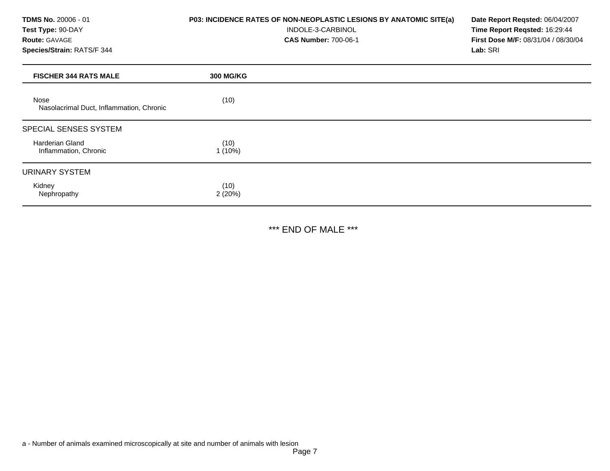### **P03: INCIDENCE RATES OF NON-NEOPLASTIC LESIONS BY ANATOMIC SITE(a)**

INDOLE-3-CARBINOL

**CAS Number:** 700-06-1

**Date Report Reqsted:** 06/04/2007 **Time Report Reqsted:** 16:29:44 **First Dose M/F:** 08/31/04 / 08/30/04 **Lab:** SRI

| <b>FISCHER 344 RATS MALE</b>                     | <b>300 MG/KG</b> |
|--------------------------------------------------|------------------|
| Nose<br>Nasolacrimal Duct, Inflammation, Chronic | (10)             |
| SPECIAL SENSES SYSTEM                            |                  |
| Harderian Gland<br>Inflammation, Chronic         | (10)<br>1(10%)   |
| <b>URINARY SYSTEM</b>                            |                  |
| Kidney<br>Nephropathy                            | (10)<br>2(20%)   |

\*\*\* END OF MALE \*\*\*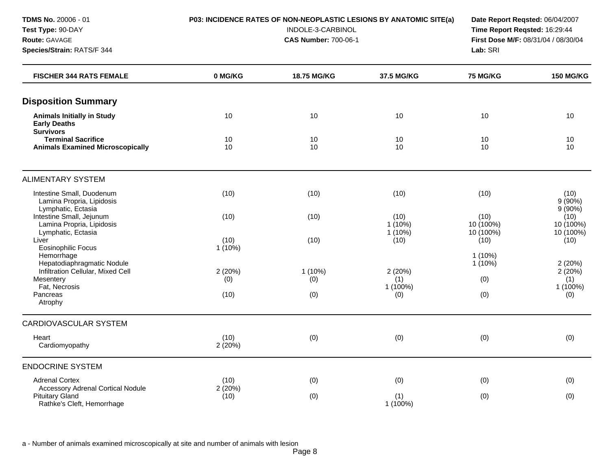**Species/Strain:** RATS/F 344 **Lab:** SRI

#### **TDMS No.** 20006 - 01 **P03: INCIDENCE RATES OF NON-NEOPLASTIC LESIONS BY ANATOMIC SITE(a) Date Report Reqsted:** 06/04/2007

**Test Type:** 90-DAY INDOLE-3-CARBINOL **Time Report Reqsted:** 16:29:44 **Route:** GAVAGE **CAS Number:** 700-06-1 **First Dose M/F:** 08/31/04 / 08/30/04

| <b>FISCHER 344 RATS FEMALE</b>                                                            | 0 MG/KG           | 18.75 MG/KG | 37.5 MG/KG                   | <b>75 MG/KG</b>                | <b>150 MG/KG</b>               |
|-------------------------------------------------------------------------------------------|-------------------|-------------|------------------------------|--------------------------------|--------------------------------|
| <b>Disposition Summary</b>                                                                |                   |             |                              |                                |                                |
| <b>Animals Initially in Study</b><br><b>Early Deaths</b>                                  | 10                | 10          | 10                           | 10                             | 10                             |
| <b>Survivors</b><br><b>Terminal Sacrifice</b><br><b>Animals Examined Microscopically</b>  | 10<br>10          | 10<br>10    | 10<br>10                     | 10<br>10                       | 10<br>10                       |
| <b>ALIMENTARY SYSTEM</b>                                                                  |                   |             |                              |                                |                                |
| Intestine Small, Duodenum<br>Lamina Propria, Lipidosis<br>Lymphatic, Ectasia              | (10)              | (10)        | (10)                         | (10)                           | (10)<br>$9(90\%)$<br>9(90%)    |
| Intestine Small, Jejunum<br>Lamina Propria, Lipidosis<br>Lymphatic, Ectasia               | (10)              | (10)        | (10)<br>$1(10\%)$<br>1 (10%) | (10)<br>10 (100%)<br>10 (100%) | (10)<br>10 (100%)<br>10 (100%) |
| Liver<br>Eosinophilic Focus                                                               | (10)<br>$1(10\%)$ | (10)        | (10)                         | (10)                           | (10)                           |
| Hemorrhage<br>Hepatodiaphragmatic Nodule<br>Infiltration Cellular, Mixed Cell             | 2(20%)            | $1(10\%)$   | 2(20%)                       | $1(10\%)$<br>$1(10\%)$         | 2(20%)<br>2(20%)               |
| Mesentery<br>Fat, Necrosis<br>Pancreas                                                    | (0)<br>(10)       | (0)<br>(0)  | (1)<br>1 (100%)<br>(0)       | (0)<br>(0)                     | (1)<br>1 (100%)<br>(0)         |
| Atrophy                                                                                   |                   |             |                              |                                |                                |
| <b>CARDIOVASCULAR SYSTEM</b>                                                              |                   |             |                              |                                |                                |
| Heart<br>Cardiomyopathy                                                                   | (10)<br>2(20%)    | (0)         | (0)                          | (0)                            | (0)                            |
| <b>ENDOCRINE SYSTEM</b>                                                                   |                   |             |                              |                                |                                |
| <b>Adrenal Cortex</b>                                                                     | (10)              | (0)         | (0)                          | (0)                            | (0)                            |
| Accessory Adrenal Cortical Nodule<br><b>Pituitary Gland</b><br>Rathke's Cleft, Hemorrhage | 2(20%)<br>(10)    | (0)         | (1)<br>1 (100%)              | (0)                            | (0)                            |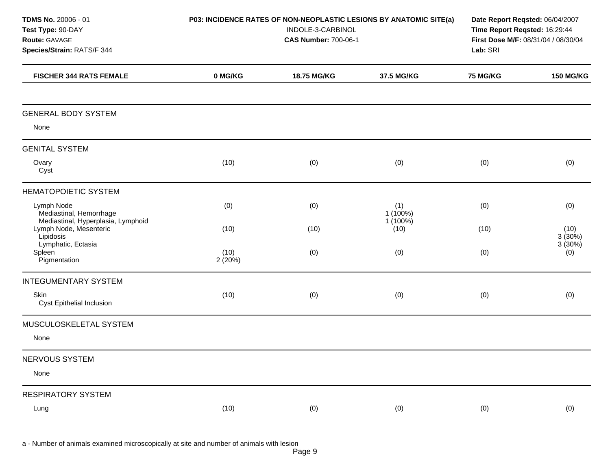| <b>TDMS No. 20006 - 01</b><br>Test Type: 90-DAY<br>Route: GAVAGE<br>Species/Strain: RATS/F 344 | P03: INCIDENCE RATES OF NON-NEOPLASTIC LESIONS BY ANATOMIC SITE(a)<br>INDOLE-3-CARBINOL<br><b>CAS Number: 700-06-1</b> |             |                             |          | Date Report Reqsted: 06/04/2007<br>Time Report Reqsted: 16:29:44<br>First Dose M/F: 08/31/04 / 08/30/04<br>Lab: SRI |  |
|------------------------------------------------------------------------------------------------|------------------------------------------------------------------------------------------------------------------------|-------------|-----------------------------|----------|---------------------------------------------------------------------------------------------------------------------|--|
| <b>FISCHER 344 RATS FEMALE</b>                                                                 | 0 MG/KG                                                                                                                | 18.75 MG/KG | 37.5 MG/KG                  | 75 MG/KG | <b>150 MG/KG</b>                                                                                                    |  |
| <b>GENERAL BODY SYSTEM</b>                                                                     |                                                                                                                        |             |                             |          |                                                                                                                     |  |
| None                                                                                           |                                                                                                                        |             |                             |          |                                                                                                                     |  |
| <b>GENITAL SYSTEM</b>                                                                          |                                                                                                                        |             |                             |          |                                                                                                                     |  |
| Ovary<br>Cyst                                                                                  | (10)                                                                                                                   | (0)         | (0)                         | (0)      | (0)                                                                                                                 |  |
| <b>HEMATOPOIETIC SYSTEM</b>                                                                    |                                                                                                                        |             |                             |          |                                                                                                                     |  |
| Lymph Node<br>Mediastinal, Hemorrhage<br>Mediastinal, Hyperplasia, Lymphoid                    | (0)                                                                                                                    | (0)         | (1)<br>1 (100%)<br>1 (100%) | (0)      | (0)                                                                                                                 |  |
| Lymph Node, Mesenteric<br>Lipidosis<br>Lymphatic, Ectasia                                      | (10)                                                                                                                   | (10)        | (10)                        | (10)     | (10)<br>3(30%)<br>3(30%)                                                                                            |  |
| Spleen<br>Pigmentation                                                                         | (10)<br>2 (20%)                                                                                                        | (0)         | (0)                         | (0)      | (0)                                                                                                                 |  |
| <b>INTEGUMENTARY SYSTEM</b>                                                                    |                                                                                                                        |             |                             |          |                                                                                                                     |  |
| Skin<br>Cyst Epithelial Inclusion                                                              | (10)                                                                                                                   | (0)         | (0)                         | (0)      | (0)                                                                                                                 |  |
| MUSCULOSKELETAL SYSTEM                                                                         |                                                                                                                        |             |                             |          |                                                                                                                     |  |
| None                                                                                           |                                                                                                                        |             |                             |          |                                                                                                                     |  |
| NERVOUS SYSTEM                                                                                 |                                                                                                                        |             |                             |          |                                                                                                                     |  |
| None                                                                                           |                                                                                                                        |             |                             |          |                                                                                                                     |  |
| <b>RESPIRATORY SYSTEM</b>                                                                      |                                                                                                                        |             |                             |          |                                                                                                                     |  |
| Lung                                                                                           | (10)                                                                                                                   | (0)         | (0)                         | (0)      | (0)                                                                                                                 |  |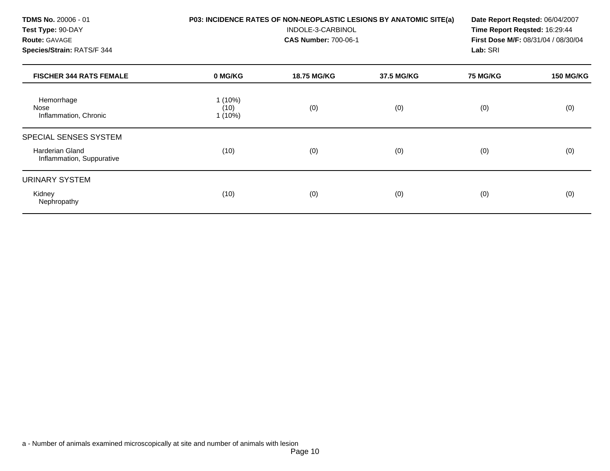#### **P03: INCIDENCE RATES OF NON-NEOPLASTIC LESIONS BY ANATOMIC SITE(a)**

INDOLE-3-CARBINOL

**CAS Number:** 700-06-1

**Date Report Reqsted:** 06/04/2007 **Time Report Reqsted:** 16:29:44 **First Dose M/F:** 08/31/04 / 08/30/04 **Lab:** SRI

| <b>FISCHER 344 RATS FEMALE</b>                      | 0 MG/KG                        | <b>18.75 MG/KG</b> | 37.5 MG/KG | <b>75 MG/KG</b> | <b>150 MG/KG</b> |
|-----------------------------------------------------|--------------------------------|--------------------|------------|-----------------|------------------|
| Hemorrhage<br>Nose<br>Inflammation, Chronic         | $1(10\%)$<br>(10)<br>$1(10\%)$ | (0)                | (0)        | (0)             | (0)              |
| SPECIAL SENSES SYSTEM                               |                                |                    |            |                 |                  |
| <b>Harderian Gland</b><br>Inflammation, Suppurative | (10)                           | (0)                | (0)        | (0)             | (0)              |
| URINARY SYSTEM                                      |                                |                    |            |                 |                  |
| Kidney<br>Nephropathy                               | (10)                           | (0)                | (0)        | (0)             | (0)              |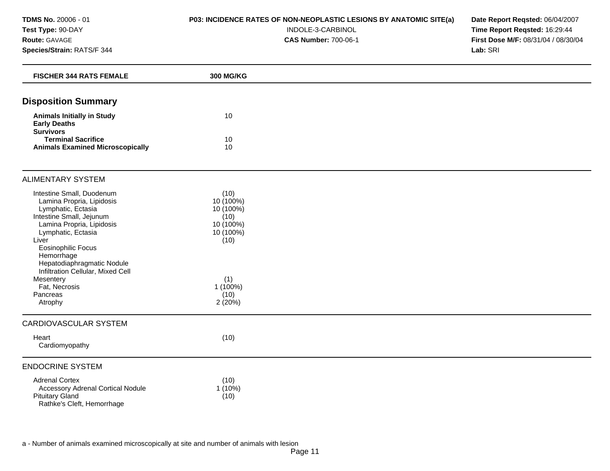## **P03: INCIDENCE RATES OF NON-NEOPLASTIC LESIONS BY ANATOMIC SITE(a)**

#### INDOLE-3-CARBINOL

**CAS Number:** 700-06-1

**Date Report Reqsted:** 06/04/2007 **Time Report Reqsted:** 16:29:44 **First Dose M/F:** 08/31/04 / 08/30/04 **Lab:** SRI

| <b>FISCHER 344 RATS FEMALE</b>                                                                                                                                                                                                                                                                                                          | 300 MG/KG                                                                                                       |  |
|-----------------------------------------------------------------------------------------------------------------------------------------------------------------------------------------------------------------------------------------------------------------------------------------------------------------------------------------|-----------------------------------------------------------------------------------------------------------------|--|
| <b>Disposition Summary</b>                                                                                                                                                                                                                                                                                                              |                                                                                                                 |  |
| <b>Animals Initially in Study</b><br><b>Early Deaths</b>                                                                                                                                                                                                                                                                                | 10                                                                                                              |  |
| <b>Survivors</b><br><b>Terminal Sacrifice</b><br><b>Animals Examined Microscopically</b>                                                                                                                                                                                                                                                | 10<br>10                                                                                                        |  |
| <b>ALIMENTARY SYSTEM</b>                                                                                                                                                                                                                                                                                                                |                                                                                                                 |  |
| Intestine Small, Duodenum<br>Lamina Propria, Lipidosis<br>Lymphatic, Ectasia<br>Intestine Small, Jejunum<br>Lamina Propria, Lipidosis<br>Lymphatic, Ectasia<br>Liver<br><b>Eosinophilic Focus</b><br>Hemorrhage<br>Hepatodiaphragmatic Nodule<br>Infiltration Cellular, Mixed Cell<br>Mesentery<br>Fat, Necrosis<br>Pancreas<br>Atrophy | (10)<br>10 (100%)<br>10 (100%)<br>(10)<br>10 (100%)<br>10 (100%)<br>(10)<br>(1)<br>$1(100\%)$<br>(10)<br>2(20%) |  |
| CARDIOVASCULAR SYSTEM                                                                                                                                                                                                                                                                                                                   |                                                                                                                 |  |
| Heart<br>Cardiomyopathy                                                                                                                                                                                                                                                                                                                 | (10)                                                                                                            |  |
| <b>ENDOCRINE SYSTEM</b>                                                                                                                                                                                                                                                                                                                 |                                                                                                                 |  |
| <b>Adrenal Cortex</b><br><b>Accessory Adrenal Cortical Nodule</b><br><b>Pituitary Gland</b><br>Rathke's Cleft, Hemorrhage                                                                                                                                                                                                               | (10)<br>$1(10\%)$<br>(10)                                                                                       |  |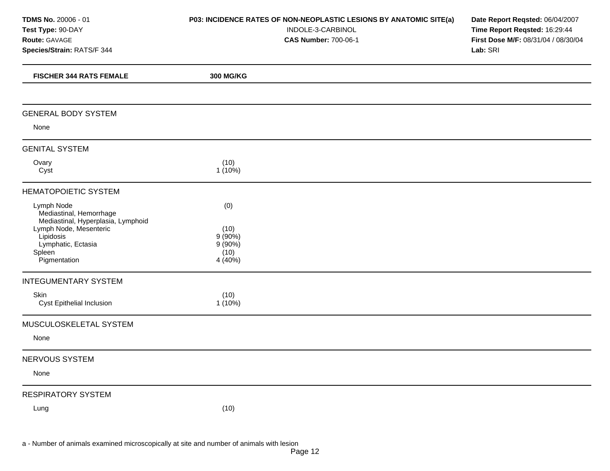| <b>TDMS No. 20006 - 01</b><br>Test Type: 90-DAY<br>Route: GAVAGE<br>Species/Strain: RATS/F 344                                                                     | P03: INCIDENCE RATES OF NON-NEOPLASTIC LESIONS BY ANATOMIC SITE(a)<br>INDOLE-3-CARBINOL<br><b>CAS Number: 700-06-1</b> | Date Report Reqsted: 06/04/2007<br>Time Report Reqsted: 16:29:44<br>First Dose M/F: 08/31/04 / 08/30/04<br>Lab: SRI |  |
|--------------------------------------------------------------------------------------------------------------------------------------------------------------------|------------------------------------------------------------------------------------------------------------------------|---------------------------------------------------------------------------------------------------------------------|--|
| <b>FISCHER 344 RATS FEMALE</b>                                                                                                                                     | 300 MG/KG                                                                                                              |                                                                                                                     |  |
| <b>GENERAL BODY SYSTEM</b>                                                                                                                                         |                                                                                                                        |                                                                                                                     |  |
| None                                                                                                                                                               |                                                                                                                        |                                                                                                                     |  |
| <b>GENITAL SYSTEM</b>                                                                                                                                              |                                                                                                                        |                                                                                                                     |  |
| Ovary<br>Cyst                                                                                                                                                      | (10)<br>$1(10\%)$                                                                                                      |                                                                                                                     |  |
| <b>HEMATOPOIETIC SYSTEM</b>                                                                                                                                        |                                                                                                                        |                                                                                                                     |  |
| Lymph Node<br>Mediastinal, Hemorrhage<br>Mediastinal, Hyperplasia, Lymphoid<br>Lymph Node, Mesenteric<br>Lipidosis<br>Lymphatic, Ectasia<br>Spleen<br>Pigmentation | (0)<br>(10)<br>9(90%)<br>$9(90\%)$<br>(10)<br>4 (40%)                                                                  |                                                                                                                     |  |
| <b>INTEGUMENTARY SYSTEM</b>                                                                                                                                        |                                                                                                                        |                                                                                                                     |  |
| Skin<br>Cyst Epithelial Inclusion                                                                                                                                  | (10)<br>1 (10%)                                                                                                        |                                                                                                                     |  |
| MUSCULOSKELETAL SYSTEM                                                                                                                                             |                                                                                                                        |                                                                                                                     |  |
| None                                                                                                                                                               |                                                                                                                        |                                                                                                                     |  |
| NERVOUS SYSTEM                                                                                                                                                     |                                                                                                                        |                                                                                                                     |  |
| None                                                                                                                                                               |                                                                                                                        |                                                                                                                     |  |
| <b>RESPIRATORY SYSTEM</b>                                                                                                                                          |                                                                                                                        |                                                                                                                     |  |
| Lung                                                                                                                                                               | (10)                                                                                                                   |                                                                                                                     |  |